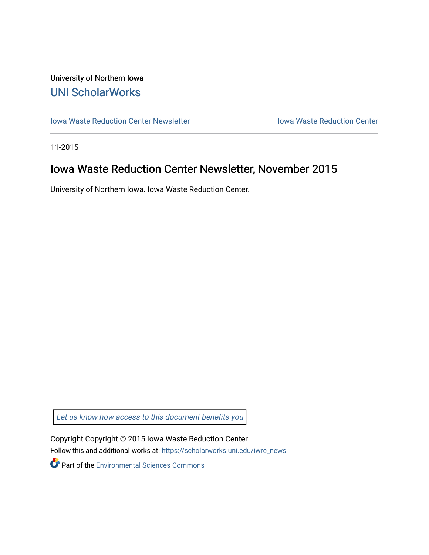## University of Northern Iowa [UNI ScholarWorks](https://scholarworks.uni.edu/)

[Iowa Waste Reduction Center Newsletter](https://scholarworks.uni.edu/iwrc_news) **Internal Communist Communist Center** Iowa Waste Reduction Center

11-2015

## Iowa Waste Reduction Center Newsletter, November 2015

University of Northern Iowa. Iowa Waste Reduction Center.

Let us know how access to this document benefits you

Copyright Copyright © 2015 Iowa Waste Reduction Center Follow this and additional works at: [https://scholarworks.uni.edu/iwrc\\_news](https://scholarworks.uni.edu/iwrc_news?utm_source=scholarworks.uni.edu%2Fiwrc_news%2F59&utm_medium=PDF&utm_campaign=PDFCoverPages) 

**Part of the [Environmental Sciences Commons](http://network.bepress.com/hgg/discipline/167?utm_source=scholarworks.uni.edu%2Fiwrc_news%2F59&utm_medium=PDF&utm_campaign=PDFCoverPages)**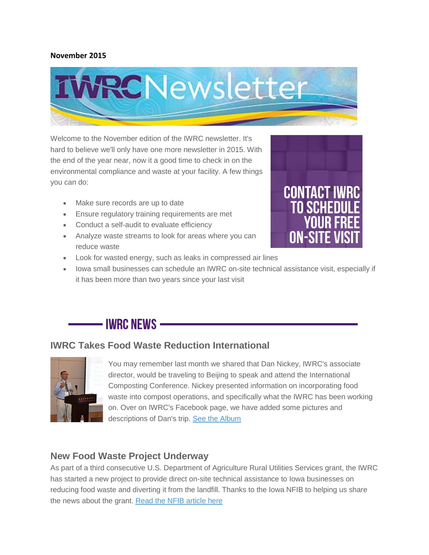### **November 2015**



Welcome to the November edition of the IWRC newsletter. It's hard to believe we'll only have one more newsletter in 2015. With the end of the year near, now it a good time to check in on the environmental compliance and waste at your facility. A few things you can do:

- Make sure records are up to date
- Ensure regulatory training requirements are met
- Conduct a self-audit to evaluate efficiency
- Analyze waste streams to look for areas where you can reduce waste



- Look for wasted energy, such as leaks in compressed air lines
- Iowa small businesses can schedule an IWRC on-site technical assistance visit, especially if it has been more than two years since your last visit

# - IWRC NEWS —

### **IWRC Takes Food Waste Reduction International**



You may remember last month we shared that Dan Nickey, IWRC's associate director, would be traveling to Beijing to speak and attend the International Composting Conference. Nickey presented information on incorporating food waste into compost operations, and specifically what the IWRC has been working on. Over on IWRC's Facebook page, we have added some pictures and descriptions of Dan's trip. [See the Album](https://www.facebook.com/media/set/?set=a.10153607253021839.1073741838.46882326838&type=1&l=fa83fa249c)

### **New Food Waste Project Underway**

As part of a third consecutive U.S. Department of Agriculture Rural Utilities Services grant, the IWRC has started a new project to provide direct on-site technical assistance to Iowa businesses on reducing food waste and diverting it from the landfill. Thanks to the Iowa NFIB to helping us share the news about the grant. [Read the NFIB article here](http://www.nfib.com/article/nfib-member-wins-grant-to-help-iowa-businesses-go-green-71479/)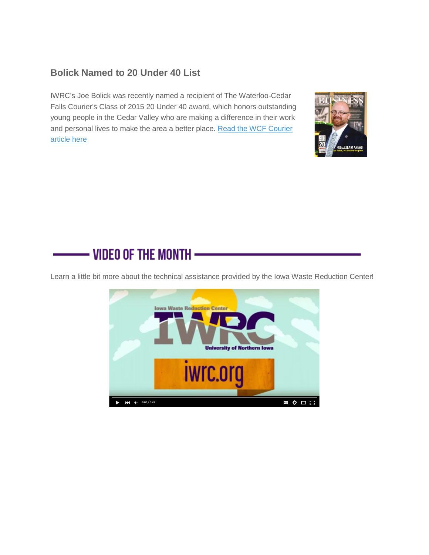### **Bolick Named to 20 Under 40 List**

IWRC's Joe Bolick was recently named a recipient of The Waterloo-Cedar Falls Courier's Class of 2015 20 Under 40 award, which honors outstanding young people in the Cedar Valley who are making a difference in their work and personal lives to make the area a better place. [Read the WCF Courier](http://wcfcourier.com/business/local/under-winners-announced/article_0c82361c-15d7-59f5-b961-84a77ad537eb.html)  [article here](http://wcfcourier.com/business/local/under-winners-announced/article_0c82361c-15d7-59f5-b961-84a77ad537eb.html)



# - VIDEO OF THE MONTH -

Learn a little bit more about the technical assistance provided by the Iowa Waste Reduction Center!